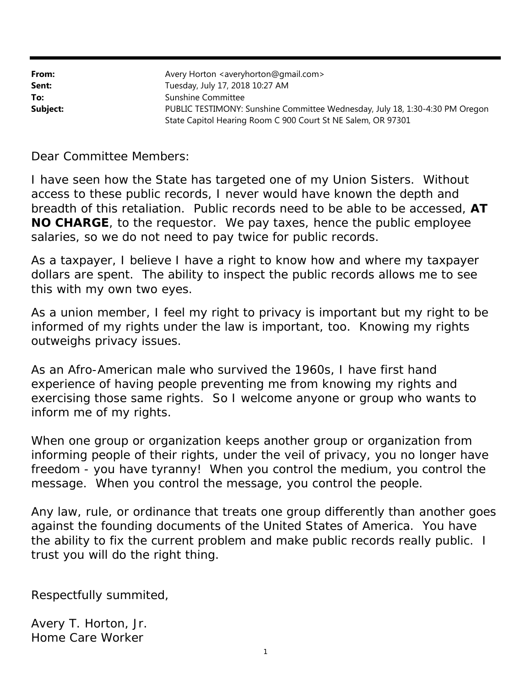| From:    | Avery Horton <averyhorton@gmail.com></averyhorton@gmail.com>                 |
|----------|------------------------------------------------------------------------------|
| Sent:    | Tuesday, July 17, 2018 10:27 AM                                              |
| To:      | Sunshine Committee                                                           |
| Subject: | PUBLIC TESTIMONY: Sunshine Committee Wednesday, July 18, 1:30-4:30 PM Oregon |
|          | State Capitol Hearing Room C 900 Court St NE Salem, OR 97301                 |

Dear Committee Members:

I have seen how the State has targeted one of my Union Sisters. Without access to these public records, I never would have known the depth and breadth of this retaliation. Public records need to be able to be accessed, *AT NO CHARGE*, to the requestor. We pay taxes, hence the public employee salaries, so we do not need to pay twice for public records.

As a taxpayer, I believe I have a right to know how and where my taxpayer dollars are spent. The ability to inspect the public records allows me to see this with my own two eyes.

As a union member, I feel my right to privacy is important but my right to be informed of my rights under the law is important, too. Knowing my rights outweighs privacy issues.

As an Afro-American male who survived the 1960s, I have first hand experience of having people preventing me from knowing my rights and exercising those same rights. So I welcome anyone or group who wants to inform me of my rights.

When one group or organization keeps another group or organization from informing people of their rights, under the veil of privacy, you no longer have freedom - you have tyranny! When you control the medium, you control the message. When you control the message, you control the people.

Any law, rule, or ordinance that treats one group differently than another goes against the founding documents of the United States of America. You have the ability to fix the current problem and make public records really public. I trust you will do the right thing.

Respectfully summited,

Avery T. Horton, Jr. Home Care Worker